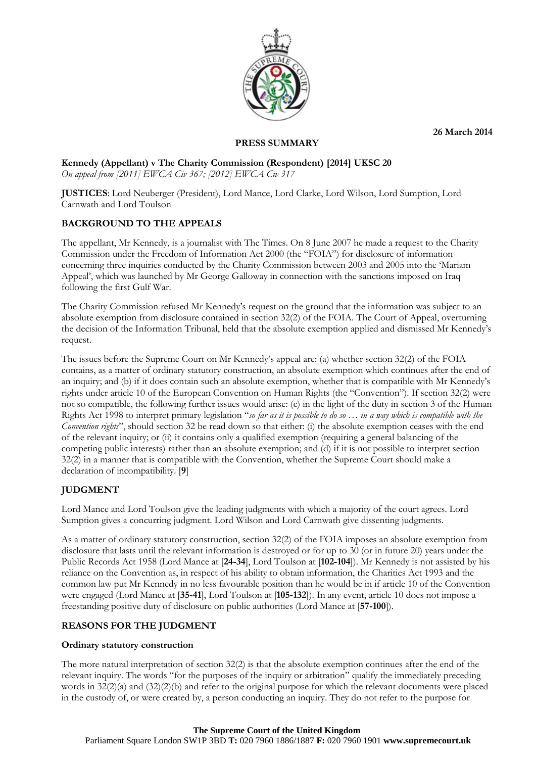**26 March 2014**



## **PRESS SUMMARY**

## **Kennedy (Appellant) v The Charity Commission (Respondent) [2014] UKSC 20** *On appeal from [2011] EWCA Civ 367; [2012] EWCA Civ 317*

**JUSTICES**: Lord Neuberger (President), Lord Mance, Lord Clarke, Lord Wilson, Lord Sumption, Lord Carnwath and Lord Toulson

# **BACKGROUND TO THE APPEALS**

The appellant, Mr Kennedy, is a journalist with The Times. On 8 June 2007 he made a request to the Charity Commission under the Freedom of Information Act 2000 (the "FOIA") for disclosure of information concerning three inquiries conducted by the Charity Commission between 2003 and 2005 into the 'Mariam Appeal', which was launched by Mr George Galloway in connection with the sanctions imposed on Iraq following the first Gulf War.

The Charity Commission refused Mr Kennedy's request on the ground that the information was subject to an absolute exemption from disclosure contained in section 32(2) of the FOIA. The Court of Appeal, overturning the decision of the Information Tribunal, held that the absolute exemption applied and dismissed Mr Kennedy's request.

The issues before the Supreme Court on Mr Kennedy's appeal are: (a) whether section 32(2) of the FOIA contains, as a matter of ordinary statutory construction, an absolute exemption which continues after the end of an inquiry; and (b) if it does contain such an absolute exemption, whether that is compatible with Mr Kennedy's rights under article 10 of the European Convention on Human Rights (the "Convention"). If section 32(2) were not so compatible, the following further issues would arise: (c) in the light of the duty in section 3 of the Human Rights Act 1998 to interpret primary legislation "*so far as it is possible to do so … in a way which is compatible with the Convention rights*", should section 32 be read down so that either: (i) the absolute exemption ceases with the end of the relevant inquiry; or (ii) it contains only a qualified exemption (requiring a general balancing of the competing public interests) rather than an absolute exemption; and (d) if it is not possible to interpret section 32(2) in a manner that is compatible with the Convention, whether the Supreme Court should make a declaration of incompatibility. [**9**]

# **JUDGMENT**

Lord Mance and Lord Toulson give the leading judgments with which a majority of the court agrees. Lord Sumption gives a concurring judgment. Lord Wilson and Lord Carnwath give dissenting judgments.

As a matter of ordinary statutory construction, section 32(2) of the FOIA imposes an absolute exemption from disclosure that lasts until the relevant information is destroyed or for up to 30 (or in future 20) years under the Public Records Act 1958 (Lord Mance at [**24-34**], Lord Toulson at [**102-104**]). Mr Kennedy is not assisted by his reliance on the Convention as, in respect of his ability to obtain information, the Charities Act 1993 and the common law put Mr Kennedy in no less favourable position than he would be in if article 10 of the Convention were engaged (Lord Mance at [**35-41**], Lord Toulson at [**105-132**]). In any event, article 10 does not impose a freestanding positive duty of disclosure on public authorities (Lord Mance at [**57-100**]).

# **REASONS FOR THE JUDGMENT**

## **Ordinary statutory construction**

The more natural interpretation of section 32(2) is that the absolute exemption continues after the end of the relevant inquiry. The words "for the purposes of the inquiry or arbitration" qualify the immediately preceding words in  $32(2)(a)$  and  $(32)(2)(b)$  and refer to the original purpose for which the relevant documents were placed in the custody of, or were created by, a person conducting an inquiry. They do not refer to the purpose for